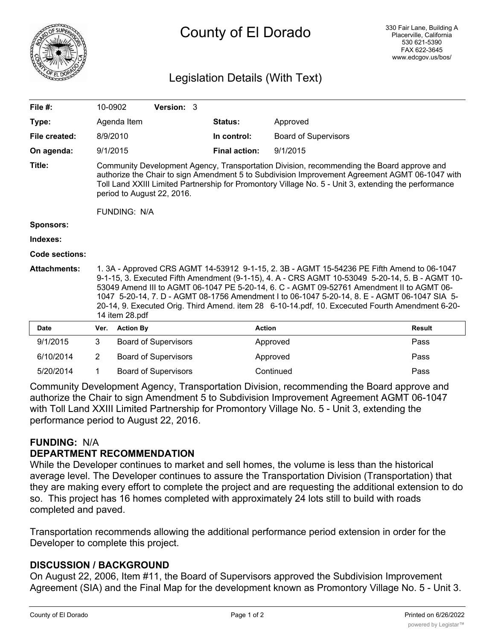

# County of El Dorado

# Legislation Details (With Text)

| File $#$ :          | 10-0902                                                                                                                                                                                                                                                                                                                                                                                                                                                                                                         |                  | Version: 3                  |  |                      |                             |               |
|---------------------|-----------------------------------------------------------------------------------------------------------------------------------------------------------------------------------------------------------------------------------------------------------------------------------------------------------------------------------------------------------------------------------------------------------------------------------------------------------------------------------------------------------------|------------------|-----------------------------|--|----------------------|-----------------------------|---------------|
| Type:               |                                                                                                                                                                                                                                                                                                                                                                                                                                                                                                                 | Agenda Item      |                             |  | <b>Status:</b>       | Approved                    |               |
| File created:       | 8/9/2010                                                                                                                                                                                                                                                                                                                                                                                                                                                                                                        |                  |                             |  | In control:          | <b>Board of Supervisors</b> |               |
| On agenda:          | 9/1/2015                                                                                                                                                                                                                                                                                                                                                                                                                                                                                                        |                  |                             |  | <b>Final action:</b> | 9/1/2015                    |               |
| Title:              | Community Development Agency, Transportation Division, recommending the Board approve and<br>authorize the Chair to sign Amendment 5 to Subdivision Improvement Agreement AGMT 06-1047 with<br>Toll Land XXIII Limited Partnership for Promontory Village No. 5 - Unit 3, extending the performance<br>period to August 22, 2016.<br><b>FUNDING: N/A</b>                                                                                                                                                        |                  |                             |  |                      |                             |               |
| <b>Sponsors:</b>    |                                                                                                                                                                                                                                                                                                                                                                                                                                                                                                                 |                  |                             |  |                      |                             |               |
| Indexes:            |                                                                                                                                                                                                                                                                                                                                                                                                                                                                                                                 |                  |                             |  |                      |                             |               |
| Code sections:      |                                                                                                                                                                                                                                                                                                                                                                                                                                                                                                                 |                  |                             |  |                      |                             |               |
| <b>Attachments:</b> | 1. 3A - Approved CRS AGMT 14-53912 9-1-15, 2. 3B - AGMT 15-54236 PE Fifth Amend to 06-1047<br>9-1-15, 3. Executed Fifth Amendment (9-1-15), 4. A - CRS AGMT 10-53049 5-20-14, 5. B - AGMT 10-<br>53049 Amend III to AGMT 06-1047 PE 5-20-14, 6. C - AGMT 09-52761 Amendment II to AGMT 06-<br>1047 5-20-14, 7. D - AGMT 08-1756 Amendment I to 06-1047 5-20-14, 8. E - AGMT 06-1047 SIA 5-<br>20-14, 9. Executed Orig. Third Amend. item 28 6-10-14.pdf, 10. Excecuted Fourth Amendment 6-20-<br>14 item 28.pdf |                  |                             |  |                      |                             |               |
| <b>Date</b>         | Ver.                                                                                                                                                                                                                                                                                                                                                                                                                                                                                                            | <b>Action By</b> |                             |  | <b>Action</b>        |                             | <b>Result</b> |
| 9/1/2015            | 3                                                                                                                                                                                                                                                                                                                                                                                                                                                                                                               |                  | <b>Board of Supervisors</b> |  |                      | Approved                    | Pass          |
| 6/10/2014           | $\overline{2}$                                                                                                                                                                                                                                                                                                                                                                                                                                                                                                  |                  | Board of Supervisors        |  |                      | Approved                    | Pass          |
| 5/20/2014           | 1                                                                                                                                                                                                                                                                                                                                                                                                                                                                                                               |                  | <b>Board of Supervisors</b> |  |                      | Continued                   | Pass          |

Community Development Agency, Transportation Division, recommending the Board approve and authorize the Chair to sign Amendment 5 to Subdivision Improvement Agreement AGMT 06-1047 with Toll Land XXIII Limited Partnership for Promontory Village No. 5 - Unit 3, extending the performance period to August 22, 2016.

## **FUNDING:** N/A

#### **DEPARTMENT RECOMMENDATION**

While the Developer continues to market and sell homes, the volume is less than the historical average level. The Developer continues to assure the Transportation Division (Transportation) that they are making every effort to complete the project and are requesting the additional extension to do so. This project has 16 homes completed with approximately 24 lots still to build with roads completed and paved.

Transportation recommends allowing the additional performance period extension in order for the Developer to complete this project.

## **DISCUSSION / BACKGROUND**

On August 22, 2006, Item #11, the Board of Supervisors approved the Subdivision Improvement Agreement (SIA) and the Final Map for the development known as Promontory Village No. 5 - Unit 3.